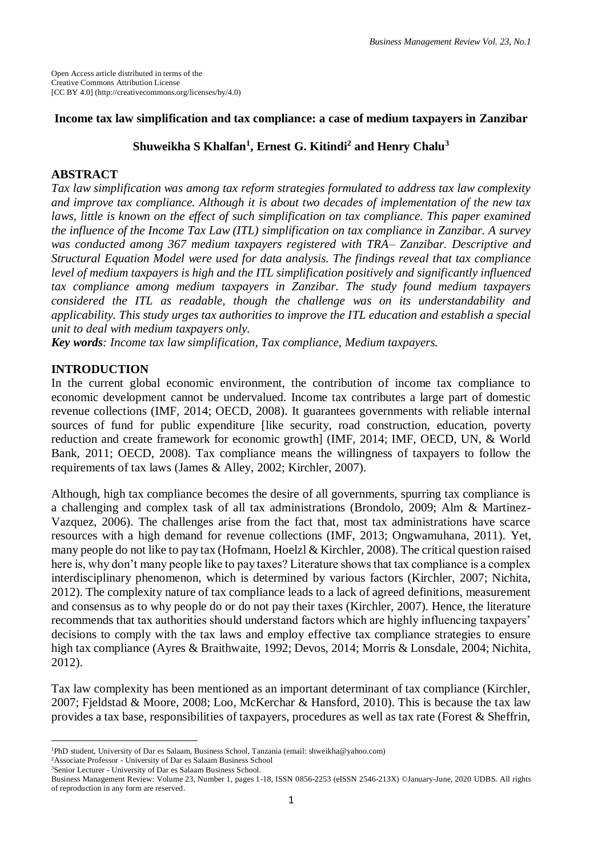# **Income tax law simplification and tax compliance: a case of medium taxpayers in Zanzibar**

# **Shuweikha S Khalfan<sup>1</sup> , Ernest G. Kitindi<sup>2</sup> and Henry Chalu<sup>3</sup>**

# **ABSTRACT**

*Tax law simplification was among tax reform strategies formulated to address tax law complexity and improve tax compliance. Although it is about two decades of implementation of the new tax laws, little is known on the effect of such simplification on tax compliance. This paper examined the influence of the Income Tax Law (ITL) simplification on tax compliance in Zanzibar. A survey was conducted among 367 medium taxpayers registered with TRA– Zanzibar. Descriptive and Structural Equation Model were used for data analysis. The findings reveal that tax compliance level of medium taxpayers is high and the ITL simplification positively and significantly influenced tax compliance among medium taxpayers in Zanzibar. The study found medium taxpayers considered the ITL as readable, though the challenge was on its understandability and applicability. This study urges tax authorities to improve the ITL education and establish a special unit to deal with medium taxpayers only.*

*Key words: Income tax law simplification, Tax compliance, Medium taxpayers.*

# **INTRODUCTION**

In the current global economic environment, the contribution of income tax compliance to economic development cannot be undervalued. Income tax contributes a large part of domestic revenue collections (IMF, 2014; OECD, 2008). It guarantees governments with reliable internal sources of fund for public expenditure [like security, road construction, education, poverty reduction and create framework for economic growth] (IMF, 2014; IMF, OECD, UN, & World Bank*,* 2011; OECD, 2008). Tax compliance means the willingness of taxpayers to follow the requirements of tax laws (James & Alley, 2002; Kirchler, 2007).

Although, high tax compliance becomes the desire of all governments, spurring tax compliance is a challenging and complex task of all tax administrations (Brondolo, 2009; Alm & Martinez-Vazquez, 2006). The challenges arise from the fact that, most tax administrations have scarce resources with a high demand for revenue collections (IMF, 2013; Ongwamuhana, 2011). Yet, many people do not like to pay tax (Hofmann, Hoelzl & Kirchler*,* 2008). The critical question raised here is, why don't many people like to pay taxes? Literature shows that tax compliance is a complex interdisciplinary phenomenon, which is determined by various factors (Kirchler, 2007; Nichita, 2012). The complexity nature of tax compliance leads to a lack of agreed definitions, measurement and consensus as to why people do or do not pay their taxes (Kirchler, 2007). Hence, the literature recommends that tax authorities should understand factors which are highly influencing taxpayers' decisions to comply with the tax laws and employ effective tax compliance strategies to ensure high tax compliance (Ayres & Braithwaite, 1992; Devos, 2014; Morris & Lonsdale, 2004; Nichita, 2012).

Tax law complexity has been mentioned as an important determinant of tax compliance (Kirchler, 2007; Fjeldstad & Moore, 2008; Loo, McKerchar & Hansford, 2010). This is because the tax law provides a tax base, responsibilities of taxpayers, procedures as well as tax rate (Forest & Sheffrin,

 $\overline{\phantom{a}}$ 

<sup>1</sup>PhD student, University of Dar es Salaam, Business School, Tanzania (email: shweikha@yahoo.com)

<sup>2</sup>Associate Professor - University of Dar es Salaam Business School <sup>3</sup>Senior Lecturer - University of Dar es Salaam Business School.

Business Management Review: Volume 23, Number 1, pages 1-18, ISSN 0856-2253 (eISSN 2546-213X) ©January-June, 2020 UDBS. All rights of reproduction in any form are reserved.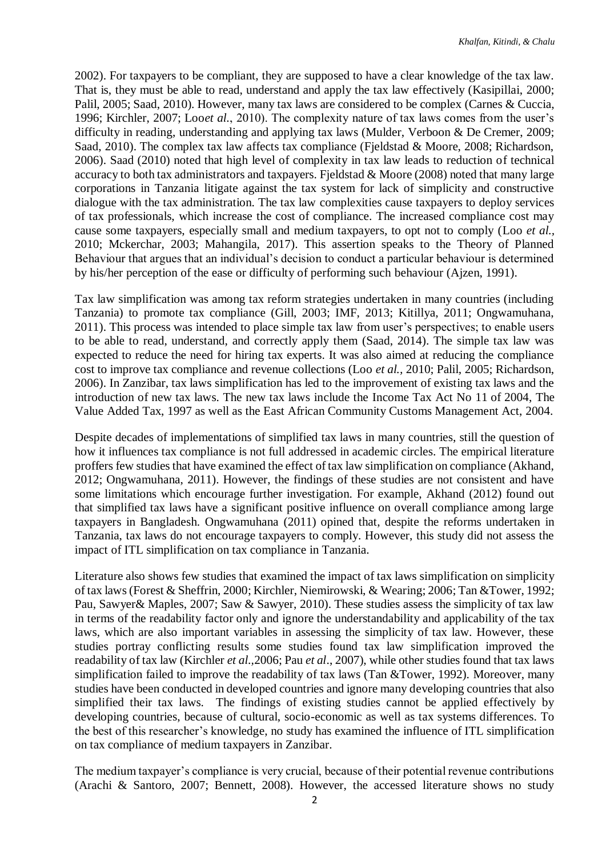2002). For taxpayers to be compliant, they are supposed to have a clear knowledge of the tax law. That is, they must be able to read, understand and apply the tax law effectively (Kasipillai, 2000; Palil, 2005; Saad, 2010). However, many tax laws are considered to be complex (Carnes & Cuccia, 1996; Kirchler, 2007; Loo*et al.*, 2010). The complexity nature of tax laws comes from the user's difficulty in reading, understanding and applying tax laws (Mulder, Verboon & De Cremer, 2009; Saad, 2010). The complex tax law affects tax compliance (Fjeldstad & Moore, 2008; Richardson, 2006). Saad (2010) noted that high level of complexity in tax law leads to reduction of technical accuracy to both tax administrators and taxpayers. Fjeldstad & Moore (2008) noted that many large corporations in Tanzania litigate against the tax system for lack of simplicity and constructive dialogue with the tax administration. The tax law complexities cause taxpayers to deploy services of tax professionals, which increase the cost of compliance. The increased compliance cost may cause some taxpayers, especially small and medium taxpayers, to opt not to comply (Loo *et al.,* 2010; Mckerchar, 2003; Mahangila, 2017). This assertion speaks to the Theory of Planned Behaviour that argues that an individual's decision to conduct a particular behaviour is determined by his/her perception of the ease or difficulty of performing such behaviour (Ajzen, 1991).

Tax law simplification was among tax reform strategies undertaken in many countries (including Tanzania) to promote tax compliance (Gill, 2003; IMF, 2013; Kitillya, 2011; Ongwamuhana, 2011). This process was intended to place simple tax law from user's perspectives; to enable users to be able to read, understand, and correctly apply them (Saad, 2014). The simple tax law was expected to reduce the need for hiring tax experts. It was also aimed at reducing the compliance cost to improve tax compliance and revenue collections (Loo *et al.,* 2010; Palil, 2005; Richardson, 2006). In Zanzibar, tax laws simplification has led to the improvement of existing tax laws and the introduction of new tax laws. The new tax laws include the Income Tax Act No 11 of 2004, The Value Added Tax, 1997 as well as the East African Community Customs Management Act, 2004.

Despite decades of implementations of simplified tax laws in many countries, still the question of how it influences tax compliance is not full addressed in academic circles. The empirical literature proffers few studies that have examined the effect of tax law simplification on compliance (Akhand, 2012; Ongwamuhana, 2011). However, the findings of these studies are not consistent and have some limitations which encourage further investigation. For example, Akhand (2012) found out that simplified tax laws have a significant positive influence on overall compliance among large taxpayers in Bangladesh. Ongwamuhana (2011) opined that, despite the reforms undertaken in Tanzania, tax laws do not encourage taxpayers to comply. However, this study did not assess the impact of ITL simplification on tax compliance in Tanzania.

Literature also shows few studies that examined the impact of tax laws simplification on simplicity of tax laws (Forest & Sheffrin, 2000; Kirchler, Niemirowski, & Wearing; 2006; Tan &Tower, 1992; Pau, Sawyer& Maples, 2007; Saw & Sawyer, 2010). These studies assess the simplicity of tax law in terms of the readability factor only and ignore the understandability and applicability of the tax laws, which are also important variables in assessing the simplicity of tax law. However, these studies portray conflicting results some studies found tax law simplification improved the readability of tax law (Kirchler *et al.,*2006; Pau *et al*., 2007), while other studies found that tax laws simplification failed to improve the readability of tax laws (Tan &Tower, 1992). Moreover, many studies have been conducted in developed countries and ignore many developing countries that also simplified their tax laws. The findings of existing studies cannot be applied effectively by developing countries, because of cultural, socio-economic as well as tax systems differences. To the best of this researcher's knowledge, no study has examined the influence of ITL simplification on tax compliance of medium taxpayers in Zanzibar.

The medium taxpayer's compliance is very crucial, because of their potential revenue contributions (Arachi & Santoro, 2007; Bennett, 2008). However, the accessed literature shows no study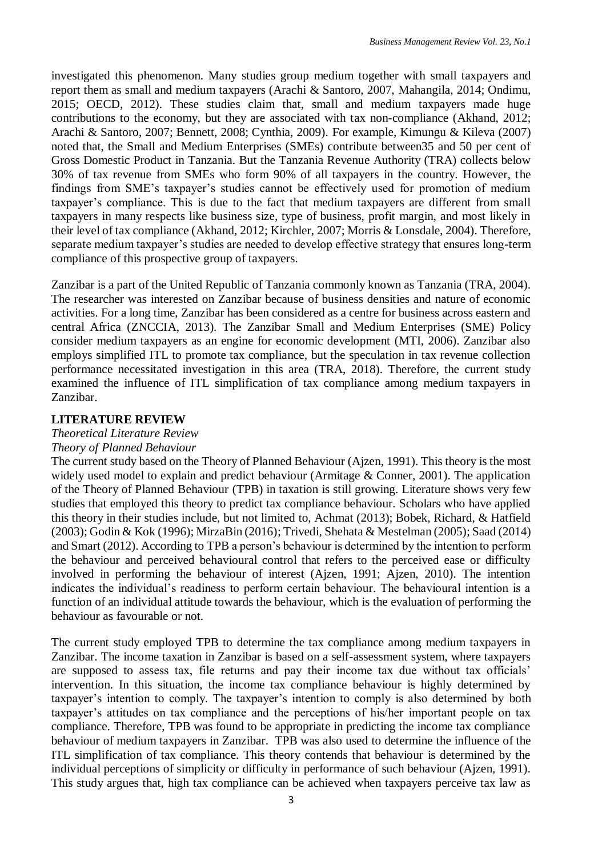investigated this phenomenon. Many studies group medium together with small taxpayers and report them as small and medium taxpayers (Arachi & Santoro, 2007, Mahangila, 2014; Ondimu, 2015; OECD, 2012). These studies claim that, small and medium taxpayers made huge contributions to the economy, but they are associated with tax non-compliance (Akhand, 2012; Arachi & Santoro, 2007; Bennett, 2008; Cynthia, 2009). For example, Kimungu & Kileva (2007) noted that, the Small and Medium Enterprises (SMEs) contribute between35 and 50 per cent of Gross Domestic Product in Tanzania. But the Tanzania Revenue Authority (TRA) collects below 30% of tax revenue from SMEs who form 90% of all taxpayers in the country. However, the findings from SME's taxpayer's studies cannot be effectively used for promotion of medium taxpayer's compliance. This is due to the fact that medium taxpayers are different from small taxpayers in many respects like business size, type of business, profit margin, and most likely in their level of tax compliance (Akhand, 2012; Kirchler, 2007; Morris & Lonsdale, 2004). Therefore, separate medium taxpayer's studies are needed to develop effective strategy that ensures long-term compliance of this prospective group of taxpayers.

Zanzibar is a part of the United Republic of Tanzania commonly known as Tanzania (TRA, 2004). The researcher was interested on Zanzibar because of business densities and nature of economic activities. For a long time, Zanzibar has been considered as a centre for business across eastern and central Africa (ZNCCIA, 2013). The Zanzibar Small and Medium Enterprises (SME) Policy consider medium taxpayers as an engine for economic development (MTI, 2006). Zanzibar also employs simplified ITL to promote tax compliance, but the speculation in tax revenue collection performance necessitated investigation in this area (TRA, 2018). Therefore, the current study examined the influence of ITL simplification of tax compliance among medium taxpayers in Zanzibar.

# **LITERATURE REVIEW**

# *Theoretical Literature Review*

## *Theory of Planned Behaviour*

The current study based on the Theory of Planned Behaviour (Ajzen, 1991). This theory is the most widely used model to explain and predict behaviour (Armitage & Conner, 2001). The application of the Theory of Planned Behaviour (TPB) in taxation is still growing. Literature shows very few studies that employed this theory to predict tax compliance behaviour. Scholars who have applied this theory in their studies include, but not limited to, Achmat (2013); Bobek, Richard, & Hatfield (2003); Godin & Kok (1996); MirzaBin (2016); Trivedi, Shehata & Mestelman (2005); Saad (2014) and Smart (2012). According to TPB a person's behaviour is determined by the intention to perform the behaviour and perceived behavioural control that refers to the perceived ease or difficulty involved in performing the behaviour of interest (Ajzen, 1991; Ajzen, 2010). The intention indicates the individual's readiness to perform certain behaviour. The behavioural intention is a function of an individual attitude towards the behaviour, which is the evaluation of performing the behaviour as favourable or not.

The current study employed TPB to determine the tax compliance among medium taxpayers in Zanzibar. The income taxation in Zanzibar is based on a self-assessment system, where taxpayers are supposed to assess tax, file returns and pay their income tax due without tax officials' intervention. In this situation, the income tax compliance behaviour is highly determined by taxpayer's intention to comply. The taxpayer's intention to comply is also determined by both taxpayer's attitudes on tax compliance and the perceptions of his/her important people on tax compliance. Therefore, TPB was found to be appropriate in predicting the income tax compliance behaviour of medium taxpayers in Zanzibar. TPB was also used to determine the influence of the ITL simplification of tax compliance. This theory contends that behaviour is determined by the individual perceptions of simplicity or difficulty in performance of such behaviour (Ajzen, 1991). This study argues that, high tax compliance can be achieved when taxpayers perceive tax law as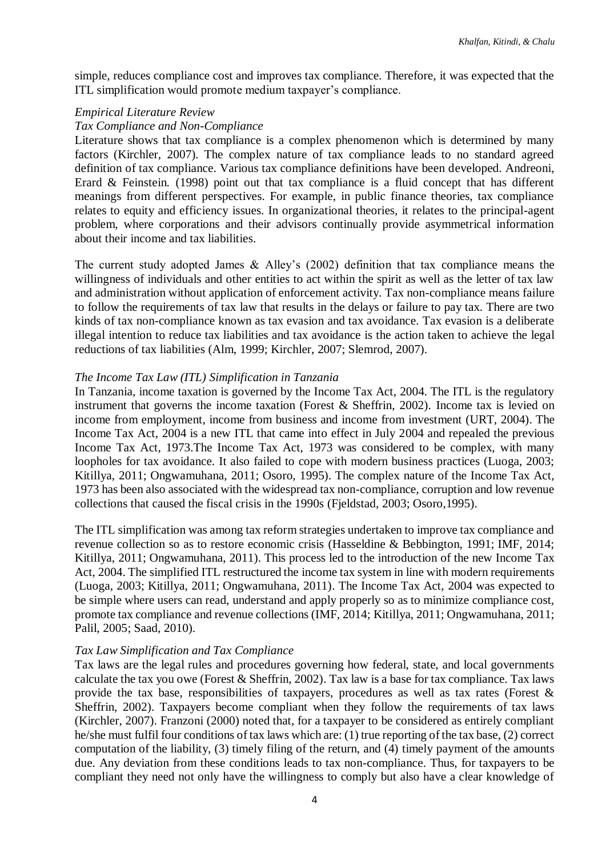simple, reduces compliance cost and improves tax compliance. Therefore, it was expected that the ITL simplification would promote medium taxpayer's compliance.

#### *Empirical Literature Review*

## *Tax Compliance and Non-Compliance*

Literature shows that tax compliance is a complex phenomenon which is determined by many factors (Kirchler, 2007). The complex nature of tax compliance leads to no standard agreed definition of tax compliance. Various tax compliance definitions have been developed. Andreoni, Erard & Feinstein*.* (1998) point out that tax compliance is a fluid concept that has different meanings from different perspectives. For example, in public finance theories, tax compliance relates to equity and efficiency issues. In organizational theories, it relates to the principal-agent problem, where corporations and their advisors continually provide asymmetrical information about their income and tax liabilities.

The current study adopted James & Alley's (2002) definition that tax compliance means the willingness of individuals and other entities to act within the spirit as well as the letter of tax law and administration without application of enforcement activity. Tax non-compliance means failure to follow the requirements of tax law that results in the delays or failure to pay tax. There are two kinds of tax non-compliance known as tax evasion and tax avoidance. Tax evasion is a deliberate illegal intention to reduce tax liabilities and tax avoidance is the action taken to achieve the legal reductions of tax liabilities (Alm, 1999; Kirchler, 2007; Slemrod, 2007).

#### *The Income Tax Law (ITL) Simplification in Tanzania*

In Tanzania, income taxation is governed by the Income Tax Act, 2004. The ITL is the regulatory instrument that governs the income taxation (Forest & Sheffrin, 2002). Income tax is levied on [income](http://en.wikipedia.org/wiki/Income) from [employment,](http://en.wikipedia.org/wiki/Employment) income from [business](http://en.wikipedia.org/wiki/Business) and income from [investment](http://en.wikipedia.org/wiki/Investment) (URT, 2004). The Income Tax Act, 2004 is a new ITL that came into effect in July 2004 and repealed the previous Income Tax Act, 1973.The Income Tax Act, 1973 was considered to be complex, with many loopholes for tax avoidance. It also failed to cope with modern business practices (Luoga, 2003; Kitillya, 2011; Ongwamuhana, 2011; Osoro, 1995). The complex nature of the Income Tax Act, 1973 has been also associated with the widespread tax non-compliance, corruption and low revenue collections that caused the fiscal crisis in the 1990s (Fjeldstad, 2003; Osoro,1995).

The ITL simplification was among tax reform strategies undertaken to improve tax compliance and revenue collection so as to restore economic crisis (Hasseldine & Bebbington, 1991; IMF, 2014; Kitillya, 2011; Ongwamuhana, 2011). This process led to the introduction of the new Income Tax Act, 2004. The simplified ITL restructured the [income tax](http://en.wikipedia.org/wiki/Income_tax) system in line with modern requirements (Luoga, 2003; Kitillya, 2011; Ongwamuhana, 2011). The Income Tax Act, 2004 was expected to be simple where users can read, understand and apply properly so as to minimize compliance cost, promote tax compliance and revenue collections (IMF, 2014; Kitillya, 2011; Ongwamuhana, 2011; Palil, 2005; Saad, 2010).

#### *Tax Law Simplification and Tax Compliance*

Tax laws are the legal rules and procedures governing how federal, state, and local governments calculate the tax you owe (Forest & Sheffrin, 2002). Tax law is a base for tax compliance. Tax laws provide the tax base, responsibilities of taxpayers, procedures as well as tax rates (Forest  $\&$ Sheffrin, 2002). Taxpayers become compliant when they follow the requirements of tax laws (Kirchler, 2007). Franzoni (2000) noted that, for a taxpayer to be considered as entirely compliant he/she must fulfil four conditions of tax laws which are: (1) true reporting of the tax base, (2) correct computation of the liability, (3) timely filing of the return, and (4) timely payment of the amounts due. Any deviation from these conditions leads to tax non-compliance. Thus, for taxpayers to be compliant they need not only have the willingness to comply but also have a clear knowledge of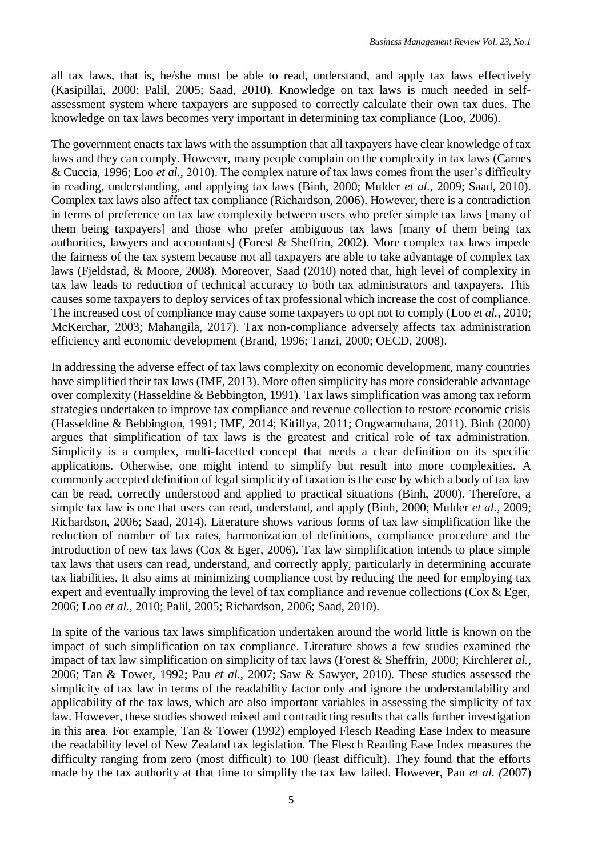all tax laws, that is, he/she must be able to read, understand, and apply tax laws effectively (Kasipillai, 2000; Palil, 2005; Saad, 2010). Knowledge on tax laws is much needed in selfassessment system where taxpayers are supposed to correctly calculate their own tax dues. The knowledge on tax laws becomes very important in determining tax compliance (Loo, 2006).

The government enacts tax laws with the assumption that all taxpayers have clear knowledge of tax laws and they can comply. However, many people complain on the complexity in tax laws (Carnes & Cuccia, 1996; Loo *et al.,* 2010). The complex nature of tax laws comes from the user's difficulty in reading, understanding, and applying tax laws (Binh, 2000; Mulder *et al.,* 2009; Saad, 2010). Complex tax laws also affect tax compliance (Richardson, 2006). However, there is a contradiction in terms of preference on tax law complexity between users who prefer simple tax laws [many of them being taxpayers] and those who prefer ambiguous tax laws [many of them being tax authorities, lawyers and accountants] (Forest & Sheffrin, 2002). More complex tax laws impede the fairness of the tax system because not all taxpayers are able to take advantage of complex tax laws (Fjeldstad, & Moore, 2008). Moreover, Saad (2010) noted that, high level of complexity in tax law leads to reduction of technical accuracy to both tax administrators and taxpayers. This causes some taxpayers to deploy services of tax professional which increase the cost of compliance. The increased cost of compliance may cause some taxpayers to opt not to comply (Loo *et al.,* 2010; McKerchar, 2003; Mahangila, 2017). Tax non-compliance adversely affects tax administration efficiency and economic development (Brand, 1996; Tanzi, 2000; OECD, 2008).

In addressing the adverse effect of tax laws complexity on economic development, many countries have simplified their tax laws (IMF, 2013). More often simplicity has more considerable advantage over complexity (Hasseldine & Bebbington, 1991). Tax laws simplification was among tax reform strategies undertaken to improve tax compliance and revenue collection to restore economic crisis (Hasseldine & Bebbington, 1991; IMF, 2014; Kitillya, 2011; Ongwamuhana, 2011). Binh (2000) argues that simplification of tax laws is the greatest and critical role of tax administration. Simplicity is a complex, multi-facetted concept that needs a clear definition on its specific applications. Otherwise, one might intend to simplify but result into more complexities. A commonly accepted definition of legal simplicity of taxation is the ease by which a body of tax law can be read, correctly understood and applied to practical situations (Binh, 2000). Therefore, a simple tax law is one that users can read, understand, and apply (Binh, 2000; Mulder *et al.,* 2009; Richardson, 2006; Saad, 2014). Literature shows various forms of tax law simplification like the reduction of number of tax rates, harmonization of definitions, compliance procedure and the introduction of new tax laws (Cox & Eger, 2006). Tax law simplification intends to place simple tax laws that users can read, understand, and correctly apply, particularly in determining accurate tax liabilities. It also aims at minimizing compliance cost by reducing the need for employing tax expert and eventually improving the level of tax compliance and revenue collections (Cox & Eger, 2006; Loo *et al.,* 2010; Palil, 2005; Richardson, 2006; Saad, 2010).

In spite of the various tax laws simplification undertaken around the world little is known on the impact of such simplification on tax compliance. Literature shows a few studies examined the impact of tax law simplification on simplicity of tax laws (Forest & Sheffrin, 2000; Kirchler*et al.,* 2006; Tan & Tower, 1992; Pau *et al.,* 2007; Saw & Sawyer, 2010). These studies assessed the simplicity of tax law in terms of the readability factor only and ignore the understandability and applicability of the tax laws, which are also important variables in assessing the simplicity of tax law. However, these studies showed mixed and contradicting results that calls further investigation in this area. For example, Tan & Tower (1992) employed Flesch Reading Ease Index to measure the readability level of New Zealand tax legislation. The Flesch Reading Ease Index measures the difficulty ranging from zero (most difficult) to 100 (least difficult). They found that the efforts made by the tax authority at that time to simplify the tax law failed. However, Pau *et al. (*2007)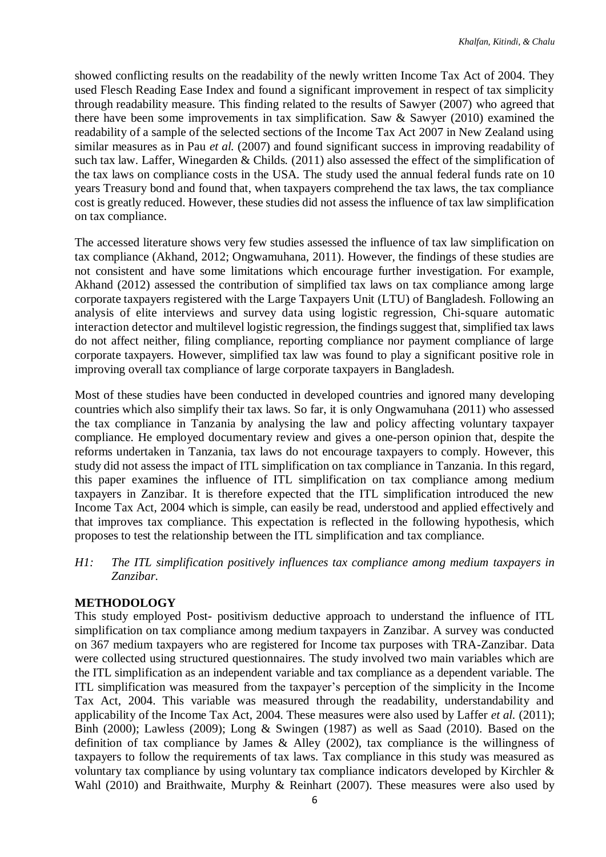showed conflicting results on the readability of the newly written Income Tax Act of 2004. They used Flesch Reading Ease Index and found a significant improvement in respect of tax simplicity through readability measure. This finding related to the results of Sawyer (2007) who agreed that there have been some improvements in tax simplification. Saw & Sawyer (2010) examined the readability of a sample of the selected sections of the Income Tax Act 2007 in New Zealand using similar measures as in Pau *et al.* (2007) and found significant success in improving readability of such tax law. Laffer, Winegarden & Childs*.* (2011) also assessed the effect of the simplification of the tax laws on compliance costs in the USA. The study used the annual federal funds rate on 10 years Treasury bond and found that, when taxpayers comprehend the tax laws, the tax compliance cost is greatly reduced. However, these studies did not assess the influence of tax law simplification on tax compliance.

The accessed literature shows very few studies assessed the influence of tax law simplification on tax compliance (Akhand, 2012; Ongwamuhana, 2011). However, the findings of these studies are not consistent and have some limitations which encourage further investigation. For example, Akhand (2012) assessed the contribution of simplified tax laws on tax compliance among large corporate taxpayers registered with the Large Taxpayers Unit (LTU) of Bangladesh. Following an analysis of elite interviews and survey data using logistic regression, Chi-square automatic interaction detector and multilevel logistic regression, the findings suggest that, simplified tax laws do not affect neither, filing compliance, reporting compliance nor payment compliance of large corporate taxpayers. However, simplified tax law was found to play a significant positive role in improving overall tax compliance of large corporate taxpayers in Bangladesh.

Most of these studies have been conducted in developed countries and ignored many developing countries which also simplify their tax laws. So far, it is only Ongwamuhana (2011) who assessed the tax compliance in Tanzania by analysing the law and policy affecting voluntary taxpayer compliance. He employed documentary review and gives a one-person opinion that, despite the reforms undertaken in Tanzania, tax laws do not encourage taxpayers to comply. However, this study did not assess the impact of ITL simplification on tax compliance in Tanzania. In this regard, this paper examines the influence of ITL simplification on tax compliance among medium taxpayers in Zanzibar. It is therefore expected that the ITL simplification introduced the new Income Tax Act, 2004 which is simple, can easily be read, understood and applied effectively and that improves tax compliance. This expectation is reflected in the following hypothesis, which proposes to test the relationship between the ITL simplification and tax compliance.

*H1: The ITL simplification positively influences tax compliance among medium taxpayers in Zanzibar.*

## **METHODOLOGY**

This study employed Post- positivism deductive approach to understand the influence of ITL simplification on tax compliance among medium taxpayers in Zanzibar. A survey was conducted on 367 medium taxpayers who are registered for Income tax purposes with TRA-Zanzibar. Data were collected using structured questionnaires. The study involved two main variables which are the ITL simplification as an independent variable and tax compliance as a dependent variable. The ITL simplification was measured from the taxpayer's perception of the simplicity in the Income Tax Act, 2004. This variable was measured through the readability, understandability and applicability of the Income Tax Act, 2004. These measures were also used by Laffer *et al.* (2011); Binh (2000); Lawless (2009); Long & Swingen (1987) as well as Saad (2010). Based on the definition of tax compliance by James & Alley (2002), tax compliance is the willingness of taxpayers to follow the requirements of tax laws. Tax compliance in this study was measured as voluntary tax compliance by using voluntary tax compliance indicators developed by Kirchler & Wahl (2010) and Braithwaite, Murphy & Reinhart (2007). These measures were also used by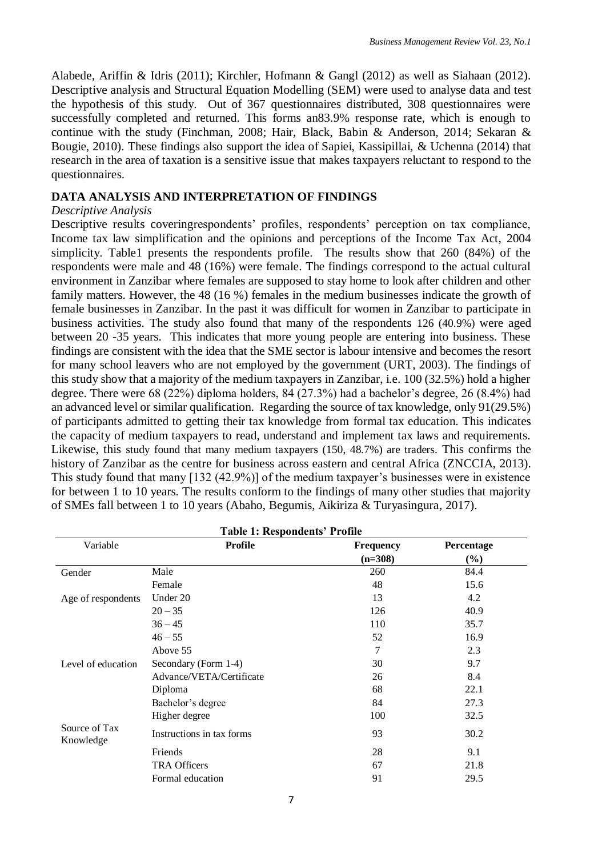Alabede, Ariffin & Idris (2011); Kirchler, Hofmann & Gangl (2012) as well as Siahaan (2012). Descriptive analysis and Structural Equation Modelling (SEM) were used to analyse data and test the hypothesis of this study. Out of 367 questionnaires distributed, 308 questionnaires were successfully completed and returned. This forms an83.9% response rate, which is enough to continue with the study (Finchman, 2008; Hair, Black, Babin & Anderson*,* 2014; Sekaran & Bougie, 2010). These findings also support the idea of Sapiei, Kassipillai, & Uchenna (2014) that research in the area of taxation is a sensitive issue that makes taxpayers reluctant to respond to the questionnaires.

# **DATA ANALYSIS AND INTERPRETATION OF FINDINGS**

## *Descriptive Analysis*

Descriptive results coveringrespondents' profiles, respondents' perception on tax compliance, Income tax law simplification and the opinions and perceptions of the Income Tax Act, 2004 simplicity. Table1 presents the respondents profile. The results show that 260 (84%) of the respondents were male and 48 (16%) were female. The findings correspond to the actual cultural environment in Zanzibar where females are supposed to stay home to look after children and other family matters. However, the 48 (16 %) females in the medium businesses indicate the growth of female businesses in Zanzibar. In the past it was difficult for women in Zanzibar to participate in business activities. The study also found that many of the respondents 126 (40.9%) were aged between 20 -35 years. This indicates that more young people are entering into business. These findings are consistent with the idea that the SME sector is labour intensive and becomes the resort for many school leavers who are not employed by the government (URT, 2003). The findings of this study show that a majority of the medium taxpayers in Zanzibar, i.e. 100 (32.5%) hold a higher degree. There were 68 (22%) diploma holders, 84 (27.3%) had a bachelor's degree, 26 (8.4%) had an advanced level or similar qualification. Regarding the source of tax knowledge, only 91(29.5%) of participants admitted to getting their tax knowledge from formal tax education. This indicates the capacity of medium taxpayers to read, understand and implement tax laws and requirements. Likewise, this study found that many medium taxpayers (150, 48.7%) are traders. This confirms the history of Zanzibar as the centre for business across eastern and central Africa (ZNCCIA, 2013). This study found that many [132 (42.9%)] of the medium taxpayer's businesses were in existence for between 1 to 10 years. The results conform to the findings of many other studies that majority of SMEs fall between 1 to 10 years (Abaho, Begumis, Aikiriza & Turyasingura*,* 2017).

| Variable                   | <b>Table 1: Respondents' Profile</b><br>Profile | <b>Frequency</b> | Percentage |
|----------------------------|-------------------------------------------------|------------------|------------|
|                            |                                                 | $(n=308)$        | $(\%)$     |
| Gender                     | Male                                            | 260              | 84.4       |
|                            | Female                                          | 48               | 15.6       |
| Age of respondents         | Under 20                                        | 13               | 4.2        |
|                            | $20 - 35$                                       | 126              | 40.9       |
|                            | $36 - 45$                                       | 110              | 35.7       |
|                            | $46 - 55$                                       | 52               | 16.9       |
|                            | Above 55                                        | 7                | 2.3        |
| Level of education         | Secondary (Form 1-4)                            | 30               | 9.7        |
|                            | Advance/VETA/Certificate                        | 26               | 8.4        |
|                            | Diploma                                         | 68               | 22.1       |
|                            | Bachelor's degree                               | 84               | 27.3       |
|                            | Higher degree                                   | 100              | 32.5       |
| Source of Tax<br>Knowledge | Instructions in tax forms                       | 93               | 30.2       |
|                            | Friends                                         | 28               | 9.1        |
|                            | <b>TRA Officers</b>                             | 67               | 21.8       |
|                            | Formal education                                | 91               | 29.5       |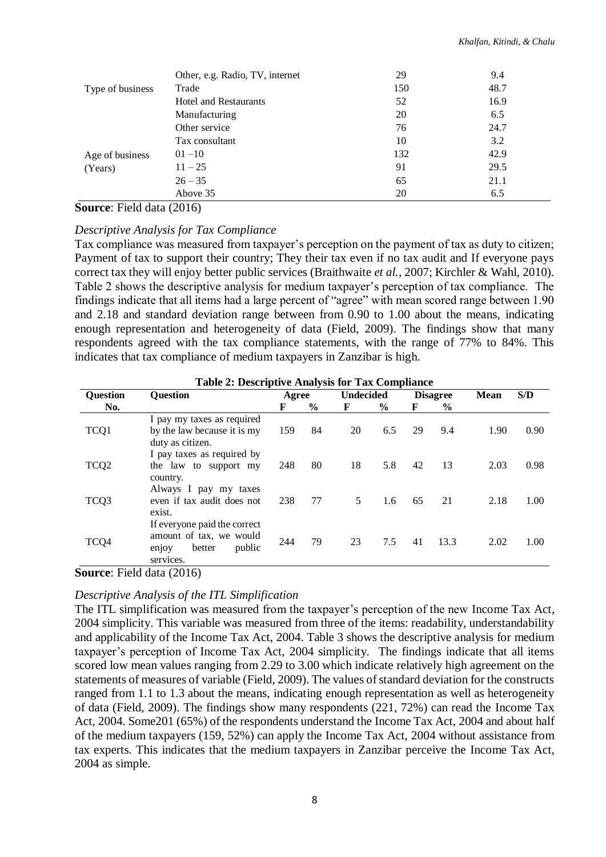|                  | Other, e.g. Radio, TV, internet | 29  | 9.4  |
|------------------|---------------------------------|-----|------|
| Type of business | Trade                           | 150 | 48.7 |
|                  | <b>Hotel and Restaurants</b>    | 52  | 16.9 |
|                  | Manufacturing                   | 20  | 6.5  |
|                  | Other service                   | 76  | 24.7 |
|                  | Tax consultant                  | 10  | 3.2  |
| Age of business  | $01 - 10$                       | 132 | 42.9 |
| (Years)          | $11 - 25$                       | 91  | 29.5 |
|                  | $26 - 35$                       | 65  | 21.1 |
|                  | Above 35                        | 20  | 6.5  |

**Source**: Field data (2016)

#### *Descriptive Analysis for Tax Compliance*

Tax compliance was measured from taxpayer's perception on the payment of tax as duty to citizen; Payment of tax to support their country; They their tax even if no tax audit and If everyone pays correct tax they will enjoy better public services (Braithwaite *et al.,* 2007; Kirchler & Wahl, 2010). Table 2 shows the descriptive analysis for medium taxpayer's perception of tax compliance. The findings indicate that all items had a large percent of "agree" with mean scored range between 1.90 and 2.18 and standard deviation range between from 0.90 to 1.00 about the means, indicating enough representation and heterogeneity of data (Field, 2009). The findings show that many respondents agreed with the tax compliance statements, with the range of 77% to 84%. This indicates that tax compliance of medium taxpayers in Zanzibar is high.

|                  | Table 2: Descriptive Analysis for Tax Compilance                                                  |       |               |                  |      |    |                 |             |      |
|------------------|---------------------------------------------------------------------------------------------------|-------|---------------|------------------|------|----|-----------------|-------------|------|
| <b>Question</b>  | <b>Ouestion</b>                                                                                   | Agree |               | <b>Undecided</b> |      |    | <b>Disagree</b> | <b>Mean</b> | S/D  |
| No.              |                                                                                                   | F     | $\frac{6}{9}$ | F                | $\%$ | F  | $\%$            |             |      |
| TCQ1             | I pay my taxes as required<br>by the law because it is my<br>duty as citizen.                     | 159   | 84            | 20               | 6.5  | 29 | 9.4             | 1.90        | 0.90 |
| TCQ <sub>2</sub> | I pay taxes as required by<br>the law to support my<br>country.                                   | 248   | 80            | 18               | 5.8  | 42 | 13              | 2.03        | 0.98 |
| TCQ3             | Always I pay my taxes<br>even if tax audit does not<br>exist.                                     | 238   | 77            | 5                | 1.6  | 65 | 21              | 2.18        | 1.00 |
| TCQ4             | If everyone paid the correct<br>amount of tax, we would<br>public<br>better<br>enjoy<br>services. | 244   | 79            | 23               | 7.5  | 41 | 13.3            | 2.02        | 1.00 |

**Table 2: Descriptive Analysis for Tax Compliance**

**Source**: Field data (2016)

## *Descriptive Analysis of the ITL Simplification*

The ITL simplification was measured from the taxpayer's perception of the new Income Tax Act, 2004 simplicity. This variable was measured from three of the items: readability, understandability and applicability of the Income Tax Act, 2004. Table 3 shows the descriptive analysis for medium taxpayer's perception of Income Tax Act, 2004 simplicity. The findings indicate that all items scored low mean values ranging from 2.29 to 3.00 which indicate relatively high agreement on the statements of measures of variable (Field, 2009). The values of standard deviation for the constructs ranged from 1.1 to 1.3 about the means, indicating enough representation as well as heterogeneity of data (Field, 2009). The findings show many respondents (221, 72%) can read the Income Tax Act, 2004. Some201 (65%) of the respondents understand the Income Tax Act, 2004 and about half of the medium taxpayers (159, 52%) can apply the Income Tax Act, 2004 without assistance from tax experts. This indicates that the medium taxpayers in Zanzibar perceive the Income Tax Act, 2004 as simple.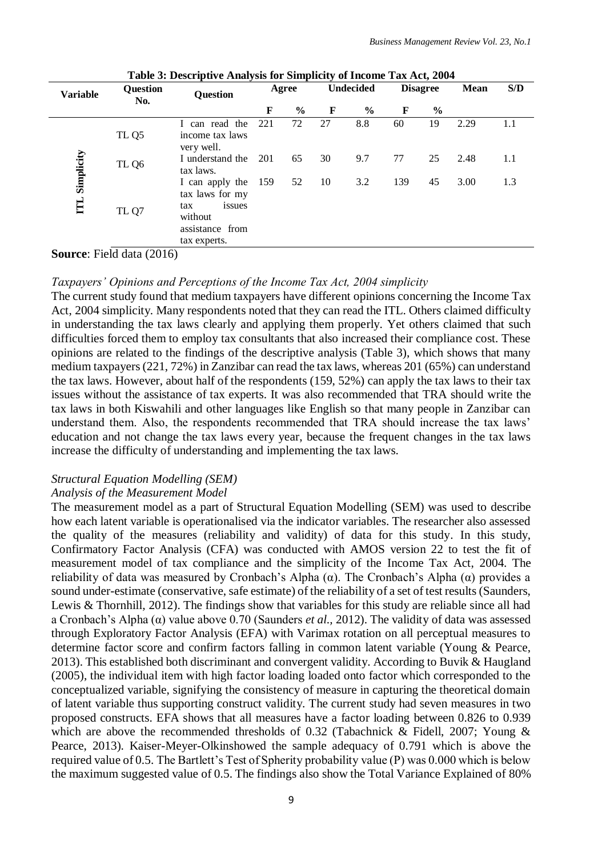| <b>Variable</b> | Question<br>No.  | <b>Question</b>                                                                                   |     | Agree         |    | <b>Undecided</b> |     | <b>Disagree</b> | Mean | S/D |
|-----------------|------------------|---------------------------------------------------------------------------------------------------|-----|---------------|----|------------------|-----|-----------------|------|-----|
|                 |                  |                                                                                                   | F   | $\frac{6}{6}$ | F  | $\frac{0}{0}$    | F   | $\frac{6}{10}$  |      |     |
|                 | TL <sub>Q5</sub> | can read the<br>L<br>income tax laws<br>very well.                                                | 221 | 72            | 27 | 8.8              | 60  | 19              | 2.29 | 1.1 |
|                 | TL Q6            | I understand the<br>tax laws.                                                                     | 201 | 65            | 30 | 9.7              | 77  | 25              | 2.48 | 1.1 |
| ITL Simplicity  | TL Q7            | I can apply the<br>tax laws for my<br>issues<br>tax<br>without<br>assistance from<br>tax experts. | 159 | 52            | 10 | 3.2              | 139 | 45              | 3.00 | 1.3 |

**Table 3: Descriptive Analysis for Simplicity of Income Tax Act, 2004**

**Source**: Field data (2016)

#### *Taxpayers' Opinions and Perceptions of the Income Tax Act, 2004 simplicity*

The current study found that medium taxpayers have different opinions concerning the Income Tax Act, 2004 simplicity. Many respondents noted that they can read the ITL. Others claimed difficulty in understanding the tax laws clearly and applying them properly. Yet others claimed that such difficulties forced them to employ tax consultants that also increased their compliance cost. These opinions are related to the findings of the descriptive analysis (Table 3), which shows that many medium taxpayers (221, 72%) in Zanzibar can read the tax laws, whereas 201 (65%) can understand the tax laws. However, about half of the respondents (159, 52%) can apply the tax laws to their tax issues without the assistance of tax experts. It was also recommended that TRA should write the tax laws in both Kiswahili and other languages like English so that many people in Zanzibar can understand them. Also, the respondents recommended that TRA should increase the tax laws' education and not change the tax laws every year, because the frequent changes in the tax laws increase the difficulty of understanding and implementing the tax laws.

## *Structural Equation Modelling (SEM)*

#### *Analysis of the Measurement Model*

The measurement model as a part of Structural Equation Modelling (SEM) was used to describe how each latent variable is operationalised via the indicator variables. The researcher also assessed the quality of the measures (reliability and validity) of data for this study. In this study, Confirmatory Factor Analysis (CFA) was conducted with AMOS version 22 to test the fit of measurement model of tax compliance and the simplicity of the Income Tax Act, 2004. The reliability of data was measured by Cronbach's Alpha (α). The Cronbach's Alpha (α) provides a sound under-estimate (conservative, safe estimate) of the reliability of a set of test results (Saunders, Lewis & Thornhill, 2012). The findings show that variables for this study are reliable since all had a Cronbach's Alpha (α) value above 0.70 (Saunders *et al.,* 2012). The validity of data was assessed through Exploratory Factor Analysis (EFA) with Varimax rotation on all perceptual measures to determine factor score and confirm factors falling in common latent variable (Young & Pearce, 2013). This established both discriminant and convergent validity. According to Buvik & Haugland (2005), the individual item with high factor loading loaded onto factor which corresponded to the conceptualized variable, signifying the consistency of measure in capturing the theoretical domain of latent variable thus supporting construct validity. The current study had seven measures in two proposed constructs. EFA shows that all measures have a factor loading between 0.826 to 0.939 which are above the recommended thresholds of 0.32 (Tabachnick & Fidell, 2007; Young & Pearce, 2013). Kaiser-Meyer-Olkinshowed the sample adequacy of 0.791 which is above the required value of 0.5. The Bartlett's Test of Spherity probability value (P) was 0.000 which is below the maximum suggested value of 0.5. The findings also show the Total Variance Explained of 80%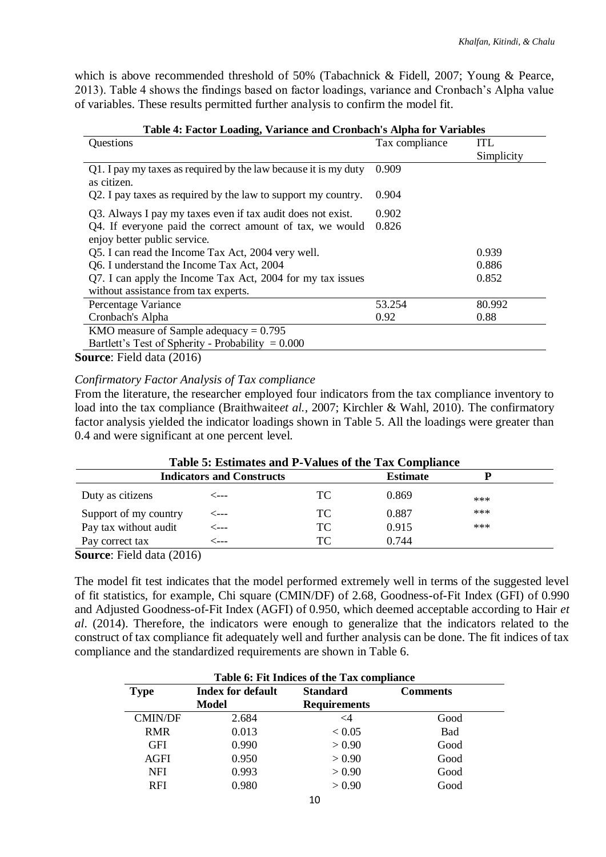which is above recommended threshold of 50% (Tabachnick & Fidell, 2007; Young & Pearce, 2013). Table 4 shows the findings based on factor loadings, variance and Cronbach's Alpha value of variables. These results permitted further analysis to confirm the model fit.

| Questions                                                                                | Tax compliance | <b>ITL</b> |
|------------------------------------------------------------------------------------------|----------------|------------|
|                                                                                          |                | Simplicity |
| Q1. I pay my taxes as required by the law because it is my duty<br>as citizen.           | 0.909          |            |
| Q2. I pay taxes as required by the law to support my country.                            | 0.904          |            |
| Q3. Always I pay my taxes even if tax audit does not exist.                              | 0.902          |            |
| Q4. If everyone paid the correct amount of tax, we would<br>enjoy better public service. | 0.826          |            |
| Q5. I can read the Income Tax Act, 2004 very well.                                       |                | 0.939      |
| Q6. I understand the Income Tax Act, 2004                                                |                | 0.886      |
| Q7. I can apply the Income Tax Act, 2004 for my tax issues                               |                | 0.852      |
| without assistance from tax experts.                                                     |                |            |
| Percentage Variance                                                                      | 53.254         | 80.992     |
| Cronbach's Alpha                                                                         | 0.92           | 0.88       |
| KMO measure of Sample adequacy = $0.795$                                                 |                |            |
| Bartlett's Test of Spherity - Probability = $0.000$                                      |                |            |

#### **Table 4: Factor Loading, Variance and Cronbach's Alpha for Variables**

**Source**: Field data (2016)

#### *Confirmatory Factor Analysis of Tax compliance*

From the literature, the researcher employed four indicators from the tax compliance inventory to load into the tax compliance (Braithwaite*et al.,* 2007; Kirchler & Wahl, 2010). The confirmatory factor analysis yielded the indicator loadings shown in Table 5. All the loadings were greater than 0.4 and were significant at one percent level.

| Table 5: Estimates and P-Values of the Tax Compliance |                                  |    |                 |     |  |  |
|-------------------------------------------------------|----------------------------------|----|-----------------|-----|--|--|
|                                                       | <b>Indicators and Constructs</b> |    | <b>Estimate</b> |     |  |  |
| Duty as citizens                                      | ⊂---                             | TС | 0.869           | *** |  |  |
| Support of my country                                 | <---                             | TC | 0.887           | *** |  |  |
| Pay tax without audit                                 | ⊂---                             | TС | 0.915           | *** |  |  |
| Pay correct tax                                       | ′---                             | TC | 0.744           |     |  |  |

**Source**: Field data (2016)

The model fit test indicates that the model performed extremely well in terms of the suggested level of fit statistics, for example, Chi square (CMIN/DF) of 2.68, Goodness-of-Fit Index (GFI) of 0.990 and Adjusted Goodness-of-Fit Index (AGFI) of 0.950, which deemed acceptable according to Hair *et al*. (2014). Therefore, the indicators were enough to generalize that the indicators related to the construct of tax compliance fit adequately well and further analysis can be done. The fit indices of tax compliance and the standardized requirements are shown in Table 6.

| Table 6: Fit Indices of the Tax compliance |                          |                     |                 |  |  |  |
|--------------------------------------------|--------------------------|---------------------|-----------------|--|--|--|
| <b>Type</b>                                | <b>Index for default</b> | <b>Standard</b>     | <b>Comments</b> |  |  |  |
|                                            | Model                    | <b>Requirements</b> |                 |  |  |  |
| <b>CMIN/DF</b>                             | 2.684                    | <4                  | Good            |  |  |  |
| <b>RMR</b>                                 | 0.013                    | < 0.05              | <b>Bad</b>      |  |  |  |
| <b>GFI</b>                                 | 0.990                    | > 0.90              | Good            |  |  |  |
| <b>AGFI</b>                                | 0.950                    | > 0.90              | Good            |  |  |  |
| <b>NFI</b>                                 | 0.993                    | > 0.90              | Good            |  |  |  |
| <b>RFI</b>                                 | 0.980                    | > 0.90              | Good            |  |  |  |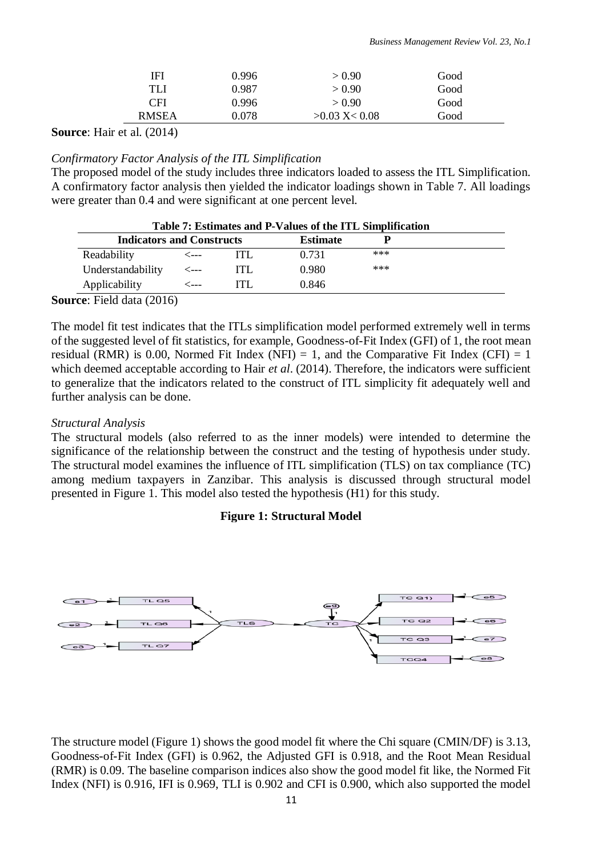| IFI          | 0.996     | > 0.90          | Good |  |
|--------------|-----------|-----------------|------|--|
| TLI          | 0.987     | > 0.90          | Good |  |
| CFI          | 0.996     | > 0.90          | Good |  |
| <b>RMSEA</b> | $0.078\,$ | $>0.03$ X< 0.08 | Good |  |

**Source**: Hair et al. (2014)

## *Confirmatory Factor Analysis of the ITL Simplification*

The proposed model of the study includes three indicators loaded to assess the ITL Simplification. A confirmatory factor analysis then yielded the indicator loadings shown in Table 7. All loadings were greater than 0.4 and were significant at one percent level.

|                                  | Table 7: Estimates and P-Values of the ITL Simplification |     |                 |     |  |  |
|----------------------------------|-----------------------------------------------------------|-----|-----------------|-----|--|--|
| <b>Indicators and Constructs</b> |                                                           |     | <b>Estimate</b> |     |  |  |
| Readability                      | <---                                                      |     | 0.731           | *** |  |  |
| Understandability                | <---                                                      | ITL | 0.980           | *** |  |  |
| Applicability                    | <---                                                      | ITI | 0.846           |     |  |  |

#### **Source**: Field data (2016)

The model fit test indicates that the ITLs simplification model performed extremely well in terms of the suggested level of fit statistics, for example, Goodness-of-Fit Index (GFI) of 1, the root mean residual (RMR) is 0.00, Normed Fit Index (NFI) = 1, and the Comparative Fit Index (CFI) = 1 which deemed acceptable according to Hair *et al.* (2014). Therefore, the indicators were sufficient to generalize that the indicators related to the construct of ITL simplicity fit adequately well and further analysis can be done.

## *Structural Analysis*

The structural models (also referred to as the inner models) were intended to determine the significance of the relationship between the construct and the testing of hypothesis under study. The structural model examines the influence of ITL simplification (TLS) on tax compliance (TC) among medium taxpayers in Zanzibar. This analysis is discussed through structural model presented in Figure 1. This model also tested the hypothesis (H1) for this study.

## **Figure 1: Structural Model**



The structure model (Figure 1) shows the good model fit where the Chi square (CMIN/DF) is 3.13, Goodness-of-Fit Index (GFI) is 0.962, the Adjusted GFI is 0.918, and the Root Mean Residual (RMR) is 0.09. The baseline comparison indices also show the good model fit like, the Normed Fit Index (NFI) is 0.916, IFI is 0.969, TLI is 0.902 and CFI is 0.900, which also supported the model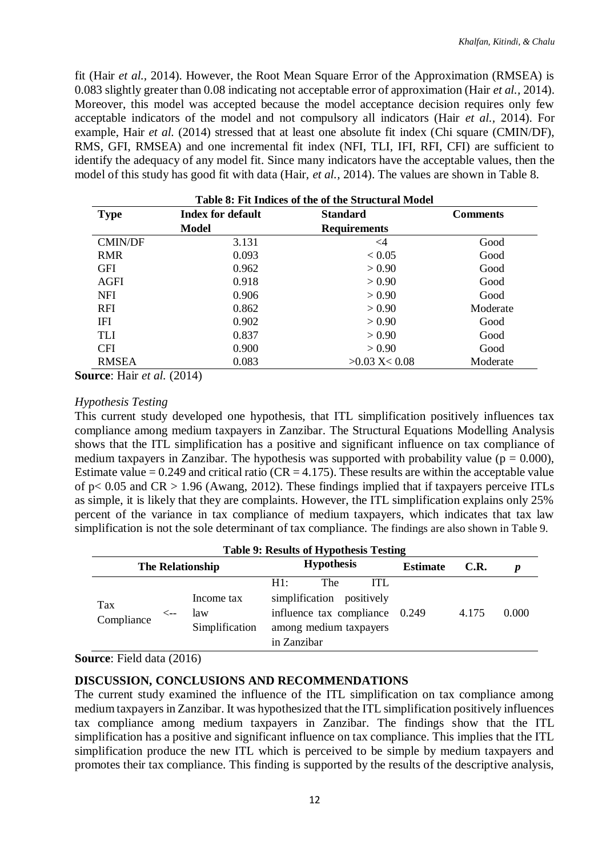fit (Hair *et al.,* 2014). However, the Root Mean Square Error of the Approximation (RMSEA) is 0.083 slightly greater than 0.08 indicating not acceptable error of approximation (Hair *et al.,* 2014). Moreover, this model was accepted because the model acceptance decision requires only few acceptable indicators of the model and not compulsory all indicators (Hair *et al.,* 2014). For example, Hair *et al.* (2014) stressed that at least one absolute fit index (Chi square (CMIN/DF), RMS, GFI, RMSEA) and one incremental fit index (NFI, TLI, IFI, RFI, CFI) are sufficient to identify the adequacy of any model fit. Since many indicators have the acceptable values, then the model of this study has good fit with data (Hair, *et al.,* 2014). The values are shown in Table 8.

| Table 8: Fit Indices of the of the Structural Model |                          |                     |                 |  |  |  |
|-----------------------------------------------------|--------------------------|---------------------|-----------------|--|--|--|
| <b>Type</b>                                         | <b>Index for default</b> | <b>Standard</b>     | <b>Comments</b> |  |  |  |
|                                                     | Model                    | <b>Requirements</b> |                 |  |  |  |
| <b>CMIN/DF</b>                                      | 3.131                    | $\leq$ 4            | Good            |  |  |  |
| <b>RMR</b>                                          | 0.093                    | < 0.05              | Good            |  |  |  |
| <b>GFI</b>                                          | 0.962                    | > 0.90              | Good            |  |  |  |
| AGFI                                                | 0.918                    | > 0.90              | Good            |  |  |  |
| <b>NFI</b>                                          | 0.906                    | > 0.90              | Good            |  |  |  |
| <b>RFI</b>                                          | 0.862                    | > 0.90              | Moderate        |  |  |  |
| <b>IFI</b>                                          | 0.902                    | > 0.90              | Good            |  |  |  |
| <b>TLI</b>                                          | 0.837                    | > 0.90              | Good            |  |  |  |
| <b>CFI</b>                                          | 0.900                    | > 0.90              | Good            |  |  |  |
| <b>RMSEA</b>                                        | 0.083                    | $>0.03$ X < 0.08    | Moderate        |  |  |  |

**Source**: Hair *et al.* (2014)

#### *Hypothesis Testing*

This current study developed one hypothesis, that ITL simplification positively influences tax compliance among medium taxpayers in Zanzibar. The Structural Equations Modelling Analysis shows that the ITL simplification has a positive and significant influence on tax compliance of medium taxpayers in Zanzibar. The hypothesis was supported with probability value ( $p = 0.000$ ), Estimate value =  $0.249$  and critical ratio (CR = 4.175). These results are within the acceptable value of  $p < 0.05$  and  $CR > 1.96$  (Awang, 2012). These findings implied that if taxpayers perceive ITLs as simple, it is likely that they are complaints. However, the ITL simplification explains only 25% percent of the variance in tax compliance of medium taxpayers, which indicates that tax law simplification is not the sole determinant of tax compliance. The findings are also shown in Table 9.

|                         | <b>Table 9: Results of Hypothesis Testing</b> |                                     |                                                                                                                            |                 |       |       |  |  |
|-------------------------|-----------------------------------------------|-------------------------------------|----------------------------------------------------------------------------------------------------------------------------|-----------------|-------|-------|--|--|
| <b>The Relationship</b> |                                               |                                     | <b>Hypothesis</b>                                                                                                          | <b>Estimate</b> | C.R.  | D     |  |  |
| Tax<br>Compliance       | <--                                           | Income tax<br>law<br>Simplification | The<br>H1:<br>ITI.<br>simplification positively<br>influence tax compliance 0.249<br>among medium taxpayers<br>in Zanzibar |                 | 4.175 | 0.000 |  |  |

**Source**: Field data (2016)

## **DISCUSSION, CONCLUSIONS AND RECOMMENDATIONS**

The current study examined the influence of the ITL simplification on tax compliance among medium taxpayers in Zanzibar. It was hypothesized that the ITL simplification positively influences tax compliance among medium taxpayers in Zanzibar. The findings show that the ITL simplification has a positive and significant influence on tax compliance. This implies that the ITL simplification produce the new ITL which is perceived to be simple by medium taxpayers and promotes their tax compliance. This finding is supported by the results of the descriptive analysis,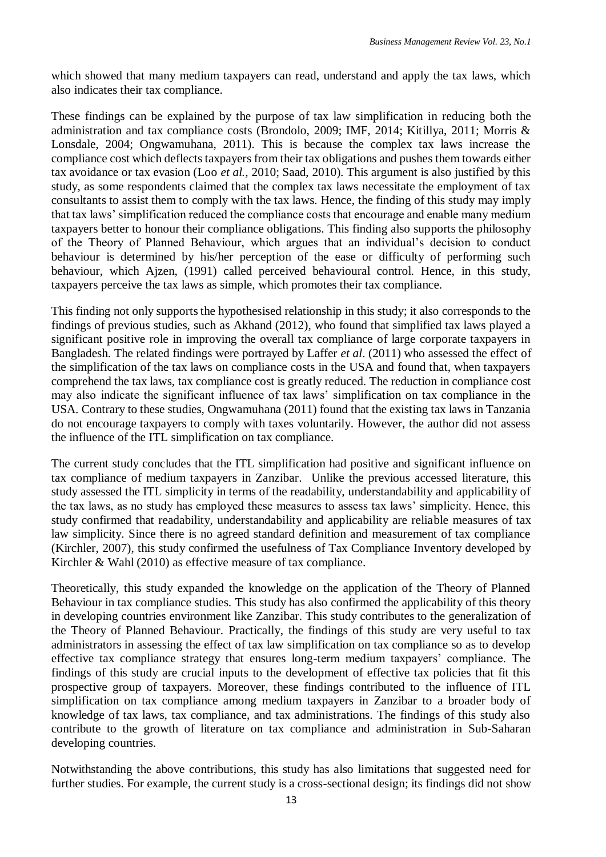which showed that many medium taxpayers can read, understand and apply the tax laws, which also indicates their tax compliance.

These findings can be explained by the purpose of tax law simplification in reducing both the administration and tax compliance costs (Brondolo, 2009; IMF, 2014; Kitillya, 2011; Morris & Lonsdale, 2004; Ongwamuhana, 2011). This is because the complex tax laws increase the compliance cost which deflects taxpayers from their tax obligations and pushes them towards either tax avoidance or tax evasion (Loo *et al.,* 2010; Saad, 2010). This argument is also justified by this study, as some respondents claimed that the complex tax laws necessitate the employment of tax consultants to assist them to comply with the tax laws. Hence, the finding of this study may imply that tax laws' simplification reduced the compliance costs that encourage and enable many medium taxpayers better to honour their compliance obligations. This finding also supports the philosophy of the Theory of Planned Behaviour, which argues that an individual's decision to conduct behaviour is determined by his/her perception of the ease or difficulty of performing such behaviour, which Ajzen, (1991) called perceived behavioural control. Hence, in this study, taxpayers perceive the tax laws as simple, which promotes their tax compliance.

This finding not only supports the hypothesised relationship in this study; it also corresponds to the findings of previous studies, such as Akhand (2012), who found that simplified tax laws played a significant positive role in improving the overall tax compliance of large corporate taxpayers in Bangladesh. The related findings were portrayed by Laffer *et al*. (2011) who assessed the effect of the simplification of the tax laws on compliance costs in the USA and found that, when taxpayers comprehend the tax laws, tax compliance cost is greatly reduced. The reduction in compliance cost may also indicate the significant influence of tax laws' simplification on tax compliance in the USA. Contrary to these studies, Ongwamuhana (2011) found that the existing tax laws in Tanzania do not encourage taxpayers to comply with taxes voluntarily. However, the author did not assess the influence of the ITL simplification on tax compliance.

The current study concludes that the ITL simplification had positive and significant influence on tax compliance of medium taxpayers in Zanzibar. Unlike the previous accessed literature, this study assessed the ITL simplicity in terms of the readability, understandability and applicability of the tax laws, as no study has employed these measures to assess tax laws' simplicity. Hence, this study confirmed that readability, understandability and applicability are reliable measures of tax law simplicity. Since there is no agreed standard definition and measurement of tax compliance (Kirchler, 2007), this study confirmed the usefulness of Tax Compliance Inventory developed by Kirchler & Wahl (2010) as effective measure of tax compliance.

Theoretically, this study expanded the knowledge on the application of the Theory of Planned Behaviour in tax compliance studies. This study has also confirmed the applicability of this theory in developing countries environment like Zanzibar. This study contributes to the generalization of the Theory of Planned Behaviour. Practically, the findings of this study are very useful to tax administrators in assessing the effect of tax law simplification on tax compliance so as to develop effective tax compliance strategy that ensures long-term medium taxpayers' compliance. The findings of this study are crucial inputs to the development of effective tax policies that fit this prospective group of taxpayers. Moreover, these findings contributed to the influence of ITL simplification on tax compliance among medium taxpayers in Zanzibar to a broader body of knowledge of tax laws, tax compliance, and tax administrations. The findings of this study also contribute to the growth of literature on tax compliance and administration in Sub-Saharan developing countries.

Notwithstanding the above contributions, this study has also limitations that suggested need for further studies. For example, the current study is a cross-sectional design; its findings did not show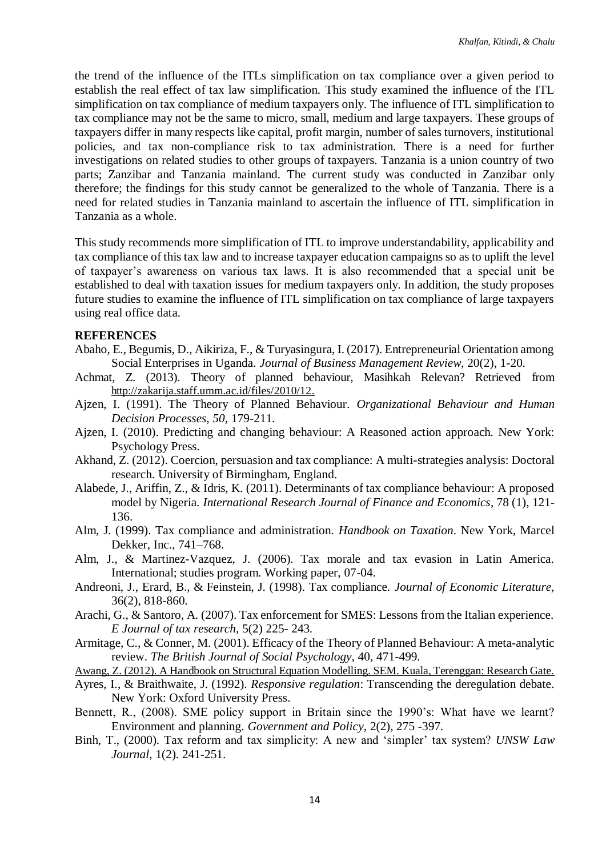the trend of the influence of the ITLs simplification on tax compliance over a given period to establish the real effect of tax law simplification. This study examined the influence of the ITL simplification on tax compliance of medium taxpayers only. The influence of ITL simplification to tax compliance may not be the same to micro, small, medium and large taxpayers. These groups of taxpayers differ in many respects like capital, profit margin, number of sales turnovers, institutional policies, and tax non-compliance risk to tax administration. There is a need for further investigations on related studies to other groups of taxpayers. Tanzania is a union country of two parts; Zanzibar and Tanzania mainland. The current study was conducted in Zanzibar only therefore; the findings for this study cannot be generalized to the whole of Tanzania. There is a need for related studies in Tanzania mainland to ascertain the influence of ITL simplification in Tanzania as a whole.

This study recommends more simplification of ITL to improve understandability, applicability and tax compliance of this tax law and to increase taxpayer education campaigns so as to uplift the level of taxpayer's awareness on various tax laws. It is also recommended that a special unit be established to deal with taxation issues for medium taxpayers only. In addition, the study proposes future studies to examine the influence of ITL simplification on tax compliance of large taxpayers using real office data.

#### **REFERENCES**

- Abaho, E., Begumis, D., Aikiriza, F., & Turyasingura, I. (2017). Entrepreneurial Orientation among Social Enterprises in Uganda. *Journal of Business Management Review*, 20(2), 1-20.
- Achmat, Z. (2013). Theory of planned behaviour, Masihkah Relevan? Retrieved from [http://zakarija.staff.umm.ac.id/files/2010/12.](http://zakarija.staff.umm.ac.id/files/2010/12/)
- Ajzen, I. (1991). The Theory of Planned Behaviour. *Organizational Behaviour and Human Decision Processes, 50*, 179-211.
- Ajzen, I. (2010). Predicting and changing behaviour: A Reasoned action approach. New York: Psychology Press.
- Akhand, Z. (2012). Coercion, persuasion and tax compliance: A multi-strategies analysis: Doctoral research. University of Birmingham, England.
- Alabede, J., Ariffin, Z., & Idris, K. (2011). Determinants of tax compliance behaviour: A proposed model by Nigeria. *International Research Journal of Finance and Economics*, 78 (1), 121- 136.
- Alm, J. (1999). Tax compliance and administration. *Handbook on Taxation*. New York, Marcel Dekker, Inc., 741–768.
- Alm, J., & Martinez-Vazquez, J. (2006). Tax morale and tax evasion in Latin America. International; studies program. Working paper, 07-04.
- Andreoni, J., Erard, B., & Feinstein, J. (1998). Tax compliance. *Journal of Economic Literature,*  36(2), 818-860.
- Arachi, G., & Santoro, A. (2007). Tax enforcement for SMES: Lessons from the Italian experience. *E Journal of tax research*, 5(2) 225- 243.
- Armitage, C., & Conner, M. (2001). Efficacy of the Theory of Planned Behaviour: A meta-analytic review. *The British Journal of Social Psychology,* 40, 471-499.
- Awang, Z. (2012). A Handbook on Structural Equation Modelling. SEM. Kuala, Terenggan: Research Gate.
- Ayres, I., & Braithwaite, J. (1992). *Responsive regulation*: Transcending the deregulation debate. New York: Oxford University Press.
- Bennett, R., (2008). SME policy support in Britain since the 1990's: What have we learnt? Environment and planning. *Government and Policy*, 2(2), 275 -397.
- Binh, T., (2000). Tax reform and tax simplicity: A new and 'simpler' tax system? *UNSW Law Journal,* 1(2). 241-251.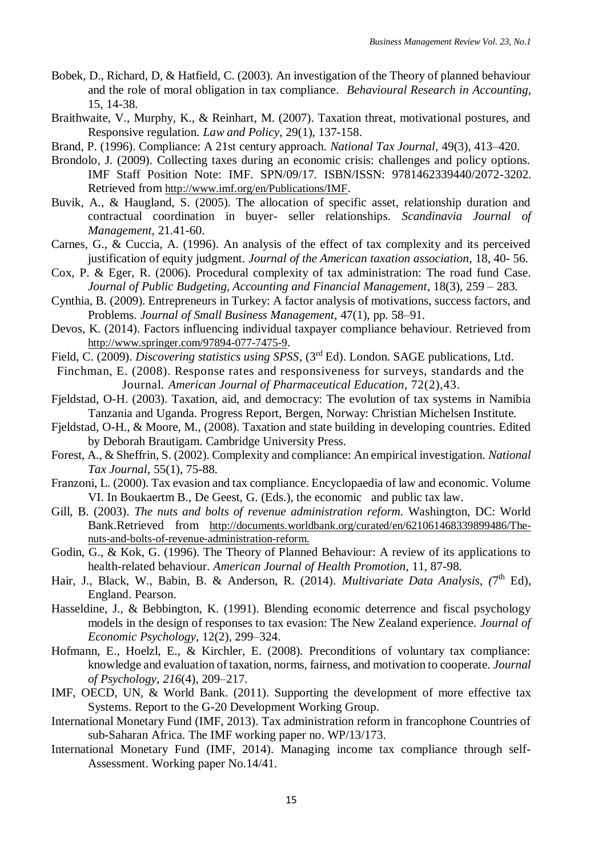- Bobek, D., Richard, D, & Hatfield, C. (2003). An investigation of the Theory of planned behaviour and the role of moral obligation in tax compliance. *Behavioural Research in Accounting*, 15, 14-38.
- Braithwaite, V., Murphy, K., & Reinhart, M. (2007). Taxation threat, motivational postures, and Responsive regulation. *Law and Policy*, 29(1), 137-158.
- Brand, P. (1996). Compliance: A 21st century approach. *National Tax Journal,* 49(3), 413–420.
- Brondolo, J. (2009). Collecting taxes during an economic crisis: challenges and policy options. IMF Staff Position Note: IMF. SPN/09/17. ISBN/ISSN: 9781462339440/2072-3202. Retrieved from <http://www.imf.org/en/Publications/IMF>.
- Buvik, A., & Haugland, S. (2005). The allocation of specific asset, relationship duration and contractual coordination in buyer- seller relationships. *Scandinavia Journal of Management,* 21.41-60.
- Carnes, G., & Cuccia, A. (1996). An analysis of the effect of tax complexity and its perceived justification of equity judgment. *Journal of the American taxation association*, 18, 40- 56.
- Cox, P. & Eger, R. (2006). Procedural complexity of tax administration: The road fund Case. *Journal of Public Budgeting, Accounting and Financial Management*, 18(3), 259 – 283.

Cynthia, B. (2009). Entrepreneurs in Turkey: A factor analysis of motivations, success factors, and Problems. *Journal of Small Business Management*, 47(1), pp. 58–91.

- Devos, K. (2014). Factors influencing individual taxpayer compliance behaviour. Retrieved from <http://www.springer.com/97894-077-7475-9>.
- Field, C. (2009). *Discovering statistics using SPSS*, (3rd Ed). London. SAGE publications, Ltd.

Finchman, E. (2008). Response rates and responsiveness for surveys, standards and the Journal*. American Journal of Pharmaceutical Education*, 72(2),43.

- Fjeldstad, O-H. (2003). Taxation, aid, and democracy: The evolution of tax systems in Namibia Tanzania and Uganda. Progress Report, Bergen, Norway: Christian Michelsen Institute.
- Fjeldstad, O-H., & Moore, M., (2008). Taxation and state building in developing countries. Edited by Deborah Brautigam. Cambridge University Press.
- Forest, A., & Sheffrin, S. (2002). Complexity and compliance: An empirical investigation. *National Tax Journal*, 55(1), 75-88.
- Franzoni, L. (2000). Tax evasion and tax compliance. Encyclopaedia of law and economic. Volume VI. In Boukaertm B., De Geest, G. (Eds.), the economic and public tax law.
- Gill, B. (2003). *The nuts and bolts of revenue administration reform.* Washington, DC: World Bank.Retrieved from [http://documents.worldbank.org/curated/en/621061468339899486/The](http://documents.worldbank.org/curated/en/621061468339899486/The-nuts-and-bolts-of-revenue-administration-reform)[nuts-and-bolts-of-revenue-administration-reform.](http://documents.worldbank.org/curated/en/621061468339899486/The-nuts-and-bolts-of-revenue-administration-reform)
- Godin, G., & Kok, G. (1996). The Theory of Planned Behaviour: A review of its applications to health-related behaviour. *American Journal of Health Promotion*, 11, 87-98.
- Hair, J., Black, W., Babin, B. & Anderson, R. (2014). *Multivariate Data Analysis*, (7<sup>th</sup> Ed), England. Pearson.
- Hasseldine, J., & Bebbington, K. (1991). Blending economic deterrence and fiscal psychology models in the design of responses to tax evasion: The New Zealand experience. *Journal of Economic Psychology*, 12(2), 299–324.
- Hofmann, E., Hoelzl, E., & Kirchler, E. (2008). Preconditions of voluntary tax compliance: knowledge and evaluation of taxation, norms, fairness, and motivation to cooperate. *Journal of Psychology, 216*(4), 209–217.
- IMF, OECD, UN, & World Bank. (2011). Supporting the development of more effective tax Systems. Report to the G-20 Development Working Group.
- International Monetary Fund (IMF, 2013). Tax administration reform in francophone Countries of sub-Saharan Africa. The IMF working paper no. WP/13/173.
- International Monetary Fund (IMF, 2014). Managing income tax compliance through self-Assessment. Working paper No.14/41.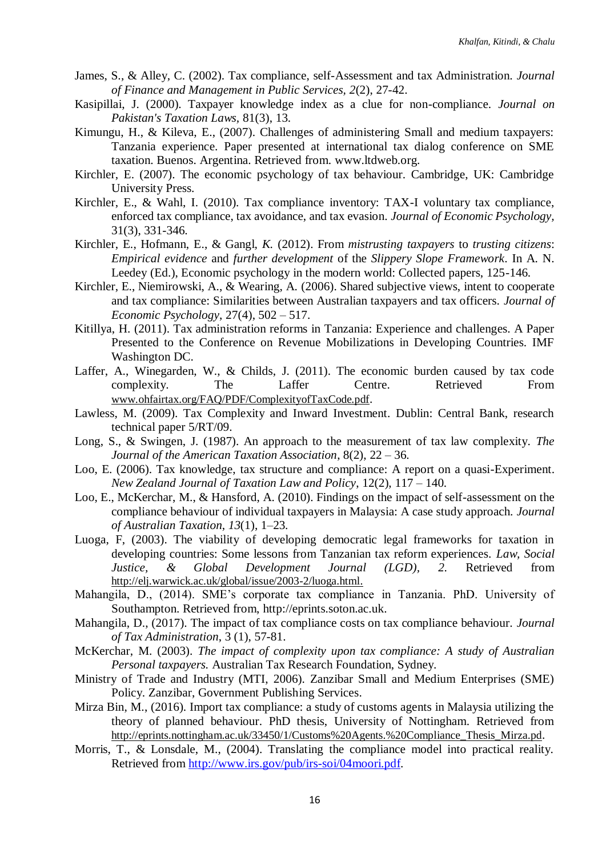- James, S., & Alley, C. (2002). Tax compliance, self-Assessment and tax Administration. *Journal of Finance and Management in Public Services, 2*(2), 27-42.
- Kasipillai, J. (2000). Taxpayer knowledge index as a clue for non-compliance. *Journal on Pakistan's Taxation Laws,* 81(3), 13.
- Kimungu, H., & Kileva, E., (2007). Challenges of administering Small and medium taxpayers: Tanzania experience. Paper presented at international tax dialog conference on SME taxation. Buenos. Argentina. Retrieved from. [www.ltdweb.org.](http://www.ltdweb.org/)
- Kirchler, E. (2007). The economic psychology of tax behaviour. Cambridge, UK: Cambridge University Press.
- Kirchler, E., & Wahl, I. (2010). Tax compliance inventory: TAX-I voluntary tax compliance, enforced tax compliance, tax avoidance, and tax evasion. *Journal of Economic Psychology,*  31(3), 331-346.
- Kirchler, E., Hofmann, E., & Gangl, *K.* (2012). From *mistrusting taxpayers* to *trusting citizens*: *Empirical evidence* and *further development* of the *Slippery Slope Framework*. In A. N. Leedey (Ed.), Economic psychology in the modern world: Collected papers, 125-146.
- Kirchler, E., Niemirowski, A., & Wearing, A. (2006). Shared subjective views, intent to cooperate and tax compliance: Similarities between Australian taxpayers and tax officers. *Journal of Economic Psychology*, 27(4), 502 – 517.
- Kitillya, H. (2011). Tax administration reforms in Tanzania: Experience and challenges. A Paper Presented to the Conference on Revenue Mobilizations in Developing Countries. IMF Washington DC.
- Laffer, A., Winegarden, W., & Childs, J. (2011). The economic burden caused by tax code complexity. The Laffer Centre. Retrieved From [www.ohfairtax.org/FAQ/PDF/ComplexityofTaxCode.pdf](http://www.ohfairtax.org/FAQ/PDF/ComplexityofTaxCode.pdf).
- Lawless, M. (2009). Tax Complexity and Inward Investment. Dublin: Central Bank, research technical paper 5/RT/09.
- Long, S., & Swingen, J. (1987). An approach to the measurement of tax law complexity. *The Journal of the American Taxation Association*, 8(2), 22 – 36.
- Loo, E. (2006). Tax knowledge, tax structure and compliance: A report on a quasi-Experiment. *New Zealand Journal of Taxation Law and Policy*, 12(2), 117 – 140.
- Loo, E., McKerchar, M., & Hansford, A. (2010). Findings on the impact of self-assessment on the compliance behaviour of individual taxpayers in Malaysia: A case study approach. *Journal of Australian Taxation*, *13*(1), 1–23.
- Luoga, F, (2003). The viability of developing democratic legal frameworks for taxation in developing countries: Some lessons from Tanzanian tax reform experiences. *Law, Social Justice, & Global Development Journal (LGD), 2.* Retrieved from [http://elj.warwick.ac.uk/global/issue/2003-2/luoga.html.](http://elj.warwick.ac.uk/global/issue/2003-2/luoga.html)
- Mahangila, D., (2014). SME's corporate tax compliance in Tanzania. PhD. University of Southampton. Retrieved from, [http://eprints.soton.ac.uk.](http://eprints.soton.ac.uk/)
- Mahangila, D., (2017). The impact of tax compliance costs on tax compliance behaviour. *Journal of Tax Administration*, 3 (1), 57-81.
- McKerchar, M. (2003). *The impact of complexity upon tax compliance: A study of Australian Personal taxpayers.* Australian Tax Research Foundation, Sydney.
- Ministry of Trade and Industry (MTI, 2006). Zanzibar Small and Medium Enterprises (SME) Policy. Zanzibar, Government Publishing Services.
- Mirza Bin, M., (2016). Import tax compliance: a study of customs agents in Malaysia utilizing the theory of planned behaviour. PhD thesis, University of Nottingham. Retrieved from [http://eprints.nottingham.ac.uk/33450/1/Customs%20Agents.%20Compliance\\_Thesis\\_Mirza.pd](http://eprints.nottingham.ac.uk/33450/1/Customs%20Agents.%20Compliance_Thesis_Mirza.pd).
- Morris, T., & Lonsdale, M., (2004). Translating the compliance model into practical reality. Retrieved from [http://www.irs.gov/pub/irs-soi/04moori.pdf.](http://www.irs.gov/pub/irs-soi/04moori.pdf)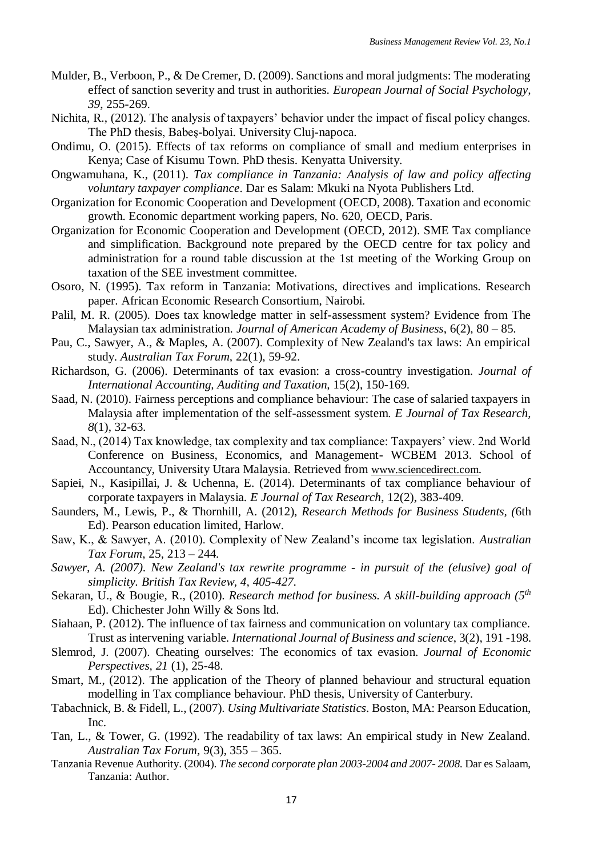- Mulder, B., Verboon, P., & De Cremer, D. (2009). Sanctions and moral judgments: The moderating effect of sanction severity and trust in authorities. *European Journal of Social Psychology, 39*, 255-269.
- Nichita, R., (2012). The analysis of taxpayers' behavior under the impact of fiscal policy changes. The PhD thesis, Babeş-bolyai. University Cluj-napoca.
- Ondimu, O. (2015). Effects of tax reforms on compliance of small and medium enterprises in Kenya; Case of Kisumu Town. PhD thesis. Kenyatta University.
- Ongwamuhana, K., (2011). *Tax compliance in Tanzania: Analysis of law and policy affecting voluntary taxpayer compliance*. Dar es Salam: Mkuki na Nyota Publishers Ltd.
- Organization for Economic Cooperation and Development (OECD, 2008). Taxation and economic growth. Economic department working papers, No. 620, OECD, Paris.
- Organization for Economic Cooperation and Development (OECD, 2012). SME Tax compliance and simplification. Background note prepared by the OECD centre for tax policy and administration for a round table discussion at the 1st meeting of the Working Group on taxation of the SEE investment committee.
- Osoro, N. (1995). Tax reform in Tanzania: Motivations, directives and implications. Research paper. African Economic Research Consortium, Nairobi.
- Palil, M. R. (2005). Does tax knowledge matter in self-assessment system? Evidence from The Malaysian tax administration. *Journal of American Academy of Business*, 6(2), 80 – 85.
- Pau, C., Sawyer, A., & Maples, A. (2007). Complexity of New Zealand's tax laws: An empirical study. *Australian Tax Forum,* 22(1), 59-92.
- Richardson, G. (2006). Determinants of tax evasion: a cross-country investigation. *Journal of International Accounting, Auditing and Taxation,* 15(2), 150-169.
- Saad, N. (2010). Fairness perceptions and compliance behaviour: The case of salaried taxpayers in Malaysia after implementation of the self-assessment system. *E Journal of Tax Research, 8*(1), 32-63.
- Saad, N., (2014) Tax knowledge, tax complexity and tax compliance: Taxpayers' view. 2nd World Conference on Business, Economics, and Management- WCBEM 2013. School of Accountancy, University Utara Malaysia. Retrieved from [www.sciencedirect.com](http://www.sciencedirect.com/).
- Sapiei, N., Kasipillai, J. & Uchenna, E. (2014). Determinants of tax compliance behaviour of corporate taxpayers in Malaysia. *E Journal of Tax Research*, 12(2), 383-409.
- Saunders, M., Lewis, P., & Thornhill, A. (2012), *Research Methods for Business Students, (*6th Ed). Pearson education limited, Harlow.
- Saw, K., & Sawyer, A. (2010). Complexity of New Zealand's income tax legislation. *Australian Tax Forum*, 25, 213 – 244.
- *Sawyer, A. (2007). New Zealand's tax rewrite programme - in pursuit of the (elusive) goal of simplicity. British Tax Review, 4, 405-427.*
- Sekaran, U., & Bougie, R., (2010). *Research method for business. A skill-building approach (5th* Ed). Chichester John Willy & Sons ltd.
- Siahaan, P. (2012). The influence of tax fairness and communication on voluntary tax compliance. Trust as intervening variable. *International Journal of Business and science*, 3(2), 191 -198.
- Slemrod, J. (2007). Cheating ourselves: The economics of tax evasion. *Journal of Economic Perspectives, 21* (1), 25-48.
- Smart, M., (2012). The application of the Theory of planned behaviour and structural equation modelling in Tax compliance behaviour. PhD thesis, University of Canterbury.
- Tabachnick, B. & Fidell, L., (2007). *Using Multivariate Statistics*. Boston, MA: Pearson Education, Inc.
- Tan, L., & Tower, G. (1992). The readability of tax laws: An empirical study in New Zealand. *Australian Tax Forum,* 9(3), 355 – 365.
- Tanzania Revenue Authority. (2004). *The second corporate plan 2003-2004 and 2007- 2008.* Dar es Salaam, Tanzania: Author.